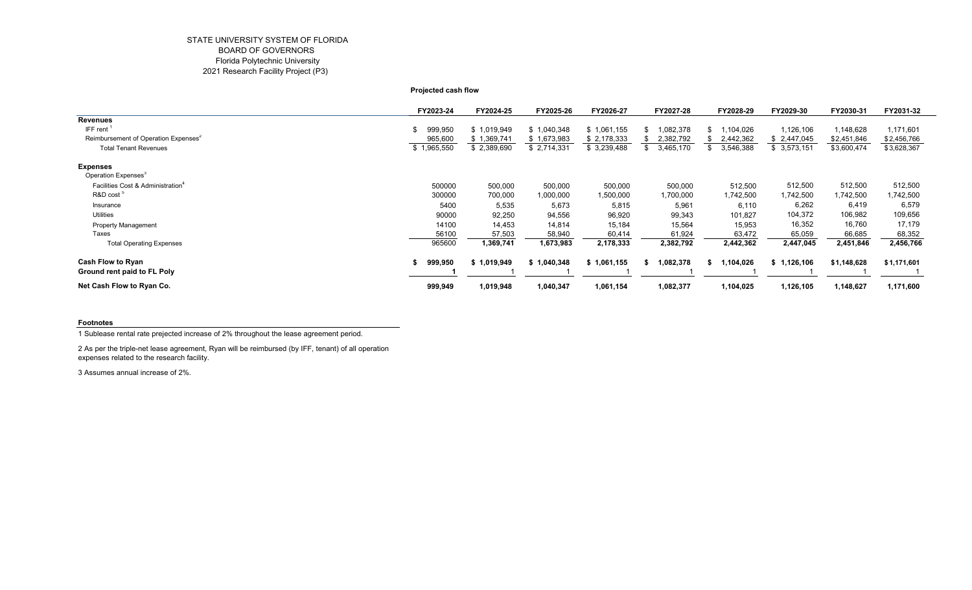# STATE UNIVERSITY SYSTEM OF FLORIDA BOARD OF GOVERNORS Florida Polytechnic University 2021 Research Facility Project (P3)

**Projected cash flow**

|                                                  | FY2023-24     | FY2024-25   | FY2025-26   | FY2026-27   | FY2027-28 | FY2028-29      | FY2029-30   | FY2030-31   | FY2031-32   |
|--------------------------------------------------|---------------|-------------|-------------|-------------|-----------|----------------|-------------|-------------|-------------|
| <b>Revenues</b>                                  |               |             |             |             |           |                |             |             |             |
| IFF rent                                         | 999,950<br>\$ | \$1,019,949 | \$1,040,348 | \$1,061,155 | 082,378   | 104,026        | 1,126,106   | 1,148,628   | 1,171,601   |
| Reimbursement of Operation Expenses <sup>2</sup> | 965,600       | \$1,369,741 | \$1,673,983 | \$2,178,333 | 2,382,792 | 2,442,362      | \$2,447,045 | \$2,451,846 | \$2,456,766 |
| <b>Total Tenant Revenues</b>                     | \$1,965,550   | \$2,389,690 | \$2,714,331 | \$3,239,488 | 3,465,170 | 3,546,388      | \$3,573,151 | \$3,600,474 | \$3,628,367 |
| <b>Expenses</b>                                  |               |             |             |             |           |                |             |             |             |
| Operation Expenses <sup>3</sup>                  |               |             |             |             |           |                |             |             |             |
| Facilities Cost & Administration <sup>4</sup>    | 500000        | 500,000     | 500,000     | 500,000     | 500,000   | 512,500        | 512,500     | 512,500     | 512,500     |
| R&D cost <sup>5</sup>                            | 300000        | 700,000     | 1,000,000   | 1,500,000   | 1,700,000 | 1,742,500      | 1,742,500   | 1,742,500   | 1,742,500   |
| Insurance                                        | 5400          | 5,535       | 5,673       | 5,815       | 5,961     | 6,110          | 6,262       | 6,419       | 6,579       |
| Utilities                                        | 90000         | 92,250      | 94,556      | 96,920      | 99,343    | 101,827        | 104,372     | 106,982     | 109,656     |
| <b>Property Management</b>                       | 14100         | 14,453      | 14,814      | 15,184      | 15,564    | 15,953         | 16,352      | 16,760      | 17,179      |
| Taxes                                            | 56100         | 57,503      | 58,940      | 60,414      | 61,924    | 63,472         | 65,059      | 66,685      | 68,352      |
| <b>Total Operating Expenses</b>                  | 965600        | 1,369,741   | 1,673,983   | 2,178,333   | 2,382,792 | 2,442,362      | 2,447,045   | 2,451,846   | 2,456,766   |
| <b>Cash Flow to Ryan</b>                         | 999,950       | \$1,019,949 | \$1,040,348 | \$1,061,155 | ,082,378  | ,104,026<br>s. | \$1,126,106 | \$1,148,628 | \$1,171,601 |
| Ground rent paid to FL Poly                      |               |             |             |             |           |                |             |             |             |
| Net Cash Flow to Ryan Co.                        | 999,949       | 1,019,948   | 1,040,347   | 1,061,154   | 1,082,377 | 1,104,025      | 1,126,105   | 1,148,627   | 1,171,600   |

#### **Footnotes**

1 Sublease rental rate prejected increase of 2% throughout the lease agreement period.

2 As per the triple-net lease agreement, Ryan will be reimbursed (by IFF, tenant) of all operation expenses related to the research facility.

3 Assumes annual increase of 2%.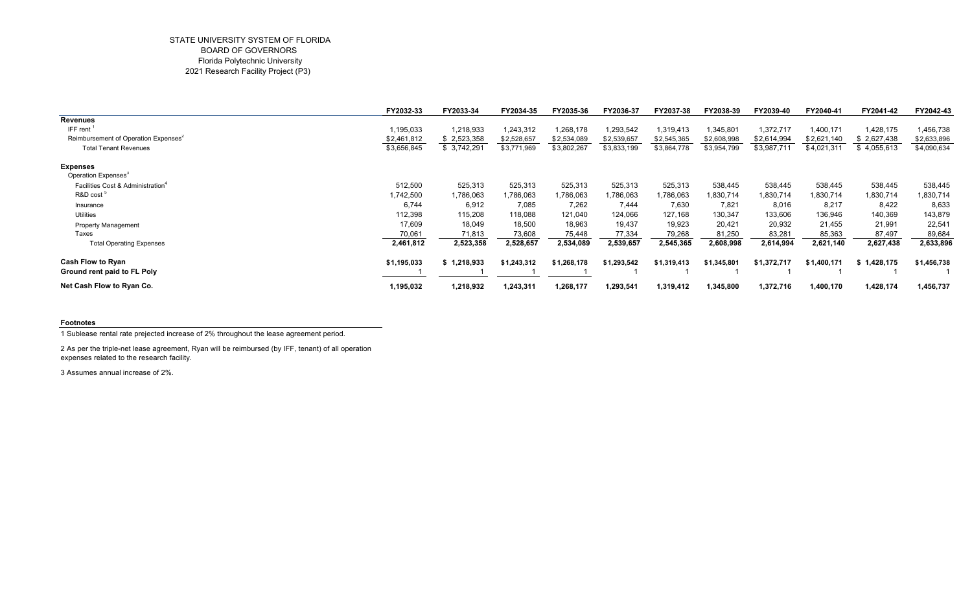### STATE UNIVERSITY SYSTEM OF FLORIDA BOARD OF GOVERNORS Florida Polytechnic University 2021 Research Facility Project (P3)

|                                                  | FY2032-33   | FY2033-34   | FY2034-35   | FY2035-36   | FY2036-37   | FY2037-38   | FY2038-39   | FY2039-40   | FY2040-41   | FY2041-42   | FY2042-43   |
|--------------------------------------------------|-------------|-------------|-------------|-------------|-------------|-------------|-------------|-------------|-------------|-------------|-------------|
| <b>Revenues</b>                                  |             |             |             |             |             |             |             |             |             |             |             |
| IFF rent                                         | 1,195,033   | 1,218,933   | 1,243,312   | 1,268,178   | 1,293,542   | 1,319,413   | 1,345,801   | 1,372,717   | 1,400,171   | 1,428,175   | 1,456,738   |
| Reimbursement of Operation Expenses <sup>2</sup> | \$2,461,812 | \$2,523,358 | \$2,528,657 | \$2,534,089 | \$2,539,657 | \$2,545,365 | \$2,608,998 | \$2,614,994 | \$2,621,140 | \$2,627,438 | \$2,633,896 |
| <b>Total Tenant Revenues</b>                     | \$3,656,845 | \$3,742,291 | \$3,771,969 | \$3,802,267 | \$3,833,199 | \$3,864,778 | \$3,954,799 | \$3,987,711 | \$4,021,311 | \$4,055,613 | \$4,090,634 |
| <b>Expenses</b>                                  |             |             |             |             |             |             |             |             |             |             |             |
| Operation Expenses <sup>3</sup>                  |             |             |             |             |             |             |             |             |             |             |             |
| Facilities Cost & Administration <sup>4</sup>    | 512,500     | 525,313     | 525,313     | 525,313     | 525,313     | 525,313     | 538,445     | 538,445     | 538,445     | 538,445     | 538,445     |
| R&D cost                                         | 1,742,500   | 1,786,063   | .786,063    | .786,063    | ,786,063    | 1,786,063   | 1,830,714   | 1,830,714   | 1,830,714   | 1,830,714   | 1,830,714   |
| Insurance                                        | 6,744       | 6,912       | 7,085       | 7,262       | 7,444       | 7,630       | 7,821       | 8,016       | 8,217       | 8,422       | 8,633       |
| <b>Utilities</b>                                 | 112,398     | 115,208     | 118,088     | 121,040     | 124,066     | 127,168     | 130,347     | 133,606     | 136,946     | 140,369     | 143,879     |
| <b>Property Management</b>                       | 17,609      | 18,049      | 18,500      | 18,963      | 19,437      | 19,923      | 20,421      | 20,932      | 21,455      | 21,991      | 22,541      |
| Taxes                                            | 70,061      | 71,813      | 73,608      | 75,448      | 77,334      | 79,268      | 81,250      | 83,281      | 85,363      | 87,497      | 89,684      |
| <b>Total Operating Expenses</b>                  | 2,461,812   | 2,523,358   | 2,528,657   | 2,534,089   | 2,539,657   | 2,545,365   | 2,608,998   | 2,614,994   | 2,621,140   | 2,627,438   | 2,633,896   |
| <b>Cash Flow to Ryan</b>                         | \$1,195,033 | \$1,218,933 | \$1,243,312 | \$1,268,178 | \$1,293,542 | \$1,319,413 | \$1.345.801 | \$1,372,717 | \$1,400,171 | \$1,428,175 | \$1,456,738 |
| Ground rent paid to FL Poly                      |             |             |             |             |             |             |             |             |             |             |             |
| Net Cash Flow to Ryan Co.                        | 1,195,032   | 1,218,932   | 1,243,311   | 1,268,177   | 1,293,541   | 1,319,412   | 1,345,800   | 1,372,716   | 1,400,170   | 1,428,174   | 1,456,737   |

#### **Footnotes**

1 Sublease rental rate prejected increase of 2% throughout the lease agreement period.

2 As per the triple-net lease agreement, Ryan will be reimbursed (by IFF, tenant) of all operation expenses related to the research facility.

3 Assumes annual increase of 2%.